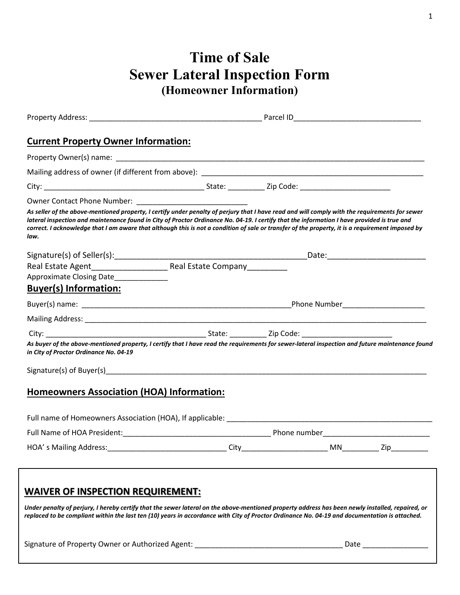## **Time of Sale Sewer Lateral Inspection Form (Homeowner Information)**

| <b>Current Property Owner Information:</b>                                                                                                                                                                                                                                                                                                                                                                                                                |      |  |           |     |
|-----------------------------------------------------------------------------------------------------------------------------------------------------------------------------------------------------------------------------------------------------------------------------------------------------------------------------------------------------------------------------------------------------------------------------------------------------------|------|--|-----------|-----|
|                                                                                                                                                                                                                                                                                                                                                                                                                                                           |      |  |           |     |
|                                                                                                                                                                                                                                                                                                                                                                                                                                                           |      |  |           |     |
|                                                                                                                                                                                                                                                                                                                                                                                                                                                           |      |  |           |     |
| Owner Contact Phone Number: Name of The Contract Phone Number:                                                                                                                                                                                                                                                                                                                                                                                            |      |  |           |     |
| As seller of the above-mentioned property, I certify under penalty of perjury that I have read and will comply with the requirements for sewer<br>lateral inspection and maintenance found in City of Proctor Ordinance No. 04-19. I certify that the information I have provided is true and<br>correct. I acknowledge that I am aware that although this is not a condition of sale or transfer of the property, it is a requirement imposed by<br>law. |      |  |           |     |
|                                                                                                                                                                                                                                                                                                                                                                                                                                                           |      |  |           |     |
|                                                                                                                                                                                                                                                                                                                                                                                                                                                           |      |  |           |     |
| Approximate Closing Date                                                                                                                                                                                                                                                                                                                                                                                                                                  |      |  |           |     |
| <b>Buyer(s) Information:</b>                                                                                                                                                                                                                                                                                                                                                                                                                              |      |  |           |     |
|                                                                                                                                                                                                                                                                                                                                                                                                                                                           |      |  |           |     |
|                                                                                                                                                                                                                                                                                                                                                                                                                                                           |      |  |           |     |
|                                                                                                                                                                                                                                                                                                                                                                                                                                                           |      |  |           |     |
| As buyer of the above-mentioned property, I certify that I have read the requirements for sewer-lateral inspection and future maintenance found<br>in City of Proctor Ordinance No. 04-19                                                                                                                                                                                                                                                                 |      |  |           |     |
|                                                                                                                                                                                                                                                                                                                                                                                                                                                           |      |  |           |     |
| <b>Homeowners Association (HOA) Information:</b>                                                                                                                                                                                                                                                                                                                                                                                                          |      |  |           |     |
|                                                                                                                                                                                                                                                                                                                                                                                                                                                           |      |  |           |     |
|                                                                                                                                                                                                                                                                                                                                                                                                                                                           |      |  |           |     |
| HOA's Mailing Address:                                                                                                                                                                                                                                                                                                                                                                                                                                    | City |  | <b>MN</b> | Zip |
|                                                                                                                                                                                                                                                                                                                                                                                                                                                           |      |  |           |     |
| <b>WAIVER OF INSPECTION REQUIREMENT:</b>                                                                                                                                                                                                                                                                                                                                                                                                                  |      |  |           |     |
| Under penalty of perjury, I hereby certify that the sewer lateral on the above-mentioned property address has been newly installed, repaired, or<br>replaced to be compliant within the last ten (10) years in accordance with City of Proctor Ordinance No. 04-19 and documentation is attached.                                                                                                                                                         |      |  |           |     |
| Signature of Property Owner or Authorized Agent: ________________________________                                                                                                                                                                                                                                                                                                                                                                         |      |  |           |     |
|                                                                                                                                                                                                                                                                                                                                                                                                                                                           |      |  |           |     |